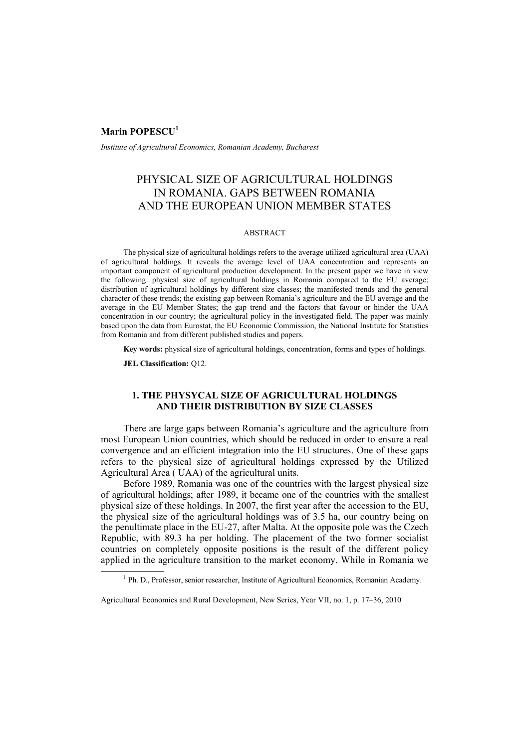### **Marin POPESCU<sup>1</sup>**

*Institute of Agricultural Economics, Romanian Academy, Bucharest* 

# PHYSICAL SIZE OF AGRICULTURAL HOLDINGS IN ROMANIA. GAPS BETWEEN ROMANIA AND THE EUROPEAN UNION MEMBER STATES

#### ABSTRACT

The physical size of agricultural holdings refers to the average utilized agricultural area (UAA) of agricultural holdings. It reveals the average level of UAA concentration and represents an important component of agricultural production development. In the present paper we have in view the following: physical size of agricultural holdings in Romania compared to the EU average; distribution of agricultural holdings by different size classes; the manifested trends and the general character of these trends; the existing gap between Romania's agriculture and the EU average and the average in the EU Member States; the gap trend and the factors that favour or hinder the UAA concentration in our country; the agricultural policy in the investigated field. The paper was mainly based upon the data from Eurostat, the EU Economic Commission, the National Institute for Statistics from Romania and from different published studies and papers.

**Key words:** physical size of agricultural holdings, concentration, forms and types of holdings.

**JEL Classification:** Q12.

### **1. THE PHYSYCAL SIZE OF AGRICULTURAL HOLDINGS AND THEIR DISTRIBUTION BY SIZE CLASSES**

There are large gaps between Romania's agriculture and the agriculture from most European Union countries, which should be reduced in order to ensure a real convergence and an efficient integration into the EU structures. One of these gaps refers to the physical size of agricultural holdings expressed by the Utilized Agricultural Area ( UAA) of the agricultural units.

Before 1989, Romania was one of the countries with the largest physical size of agricultural holdings; after 1989, it became one of the countries with the smallest physical size of these holdings. In 2007, the first year after the accession to the EU, the physical size of the agricultural holdings was of 3.5 ha, our country being on the penultimate place in the EU-27, after Malta. At the opposite pole was the Czech Republic, with 89.3 ha per holding. The placement of the two former socialist countries on completely opposite positions is the result of the different policy applied in the agriculture transition to the market economy. While in Romania we

 $\overline{\phantom{a}}$ <sup>1</sup> Ph. D., Professor, senior researcher, Institute of Agricultural Economics, Romanian Academy.

Agricultural Economics and Rural Development, New Series, Year VII, no. 1, p. 17–36, 2010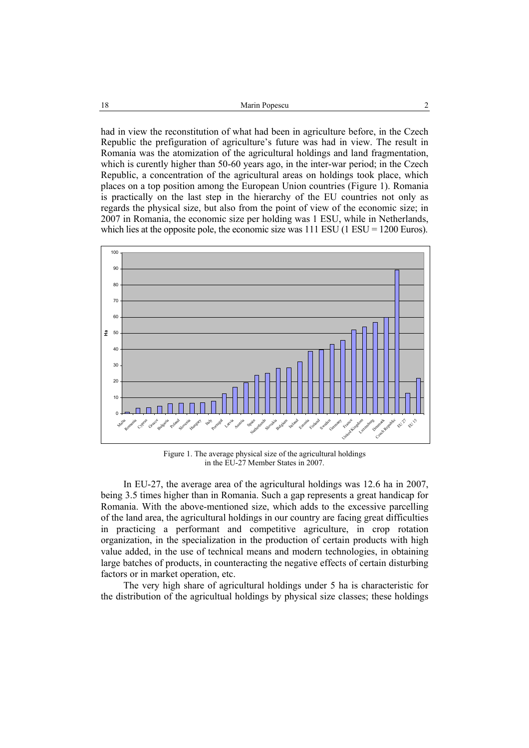had in view the reconstitution of what had been in agriculture before, in the Czech Republic the prefiguration of agriculture's future was had in view. The result in Romania was the atomization of the agricultural holdings and land fragmentation, which is curently higher than 50-60 years ago, in the inter-war period; in the Czech Republic, a concentration of the agricultural areas on holdings took place, which places on a top position among the European Union countries (Figure 1). Romania is practically on the last step in the hierarchy of the EU countries not only as regards the physical size, but also from the point of view of the economic size; in 2007 in Romania, the economic size per holding was 1 ESU, while in Netherlands, which lies at the opposite pole, the economic size was  $111$  ESU (1 ESU = 1200 Euros).



Figure 1. The average physical size of the agricultural holdings in the EU-27 Member States in 2007.

In EU-27, the average area of the agricultural holdings was 12.6 ha in 2007, being 3.5 times higher than in Romania. Such a gap represents a great handicap for Romania. With the above-mentioned size, which adds to the excessive parcelling of the land area, the agricultural holdings in our country are facing great difficulties in practicing a performant and competitive agriculture, in crop rotation organization, in the specialization in the production of certain products with high value added, in the use of technical means and modern technologies, in obtaining large batches of products, in counteracting the negative effects of certain disturbing factors or in market operation, etc.

The very high share of agricultural holdings under 5 ha is characteristic for the distribution of the agricultual holdings by physical size classes; these holdings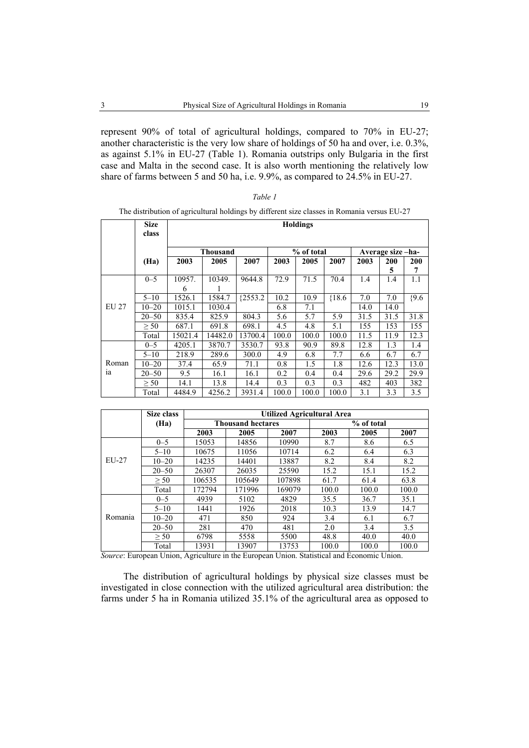represent 90% of total of agricultural holdings, compared to 70% in EU-27; another characteristic is the very low share of holdings of 50 ha and over, i.e. 0.3%, as against 5.1% in EU-27 (Table 1). Romania outstrips only Bulgaria in the first case and Malta in the second case. It is also worth mentioning the relatively low share of farms between 5 and 50 ha, i.e. 9.9%, as compared to 24.5% in EU-27.

|             |             | The distribution of agricultural notalings by different size classes in Romania versus EO-27 |                 |            |       |            |          |      |                  |         |
|-------------|-------------|----------------------------------------------------------------------------------------------|-----------------|------------|-------|------------|----------|------|------------------|---------|
|             | <b>Size</b> |                                                                                              | <b>Holdings</b> |            |       |            |          |      |                  |         |
|             | class       |                                                                                              |                 |            |       |            |          |      |                  |         |
|             |             |                                                                                              |                 |            |       |            |          |      |                  |         |
|             |             |                                                                                              | <b>Thousand</b> |            |       | % of total |          |      | Average size-ha- |         |
|             | (Ha)        | 2003                                                                                         | 2005            | 2007       | 2003  | 2005       | 2007     | 2003 | 200              | 200     |
|             |             |                                                                                              |                 |            |       |            |          |      | 5                | 7       |
|             | $0 - 5$     | 10957.                                                                                       | 10349.          | 9644.8     | 72.9  | 71.5       | 70.4     | 1.4  | 1.4              | 1.1     |
|             |             | 6                                                                                            |                 |            |       |            |          |      |                  |         |
|             | $5 - 10$    | 1526.1                                                                                       | 1584.7          | ${2553.2}$ | 10.2  | 10.9       | ${18.6}$ | 7.0  | 7.0              | ${9.6}$ |
| EU 27       | $10 - 20$   | 1015.1                                                                                       | 1030.4          |            | 6.8   | 7.1        |          | 14.0 | 14.0             |         |
|             | $20 - 50$   | 835.4                                                                                        | 825.9           | 804.3      | 5.6   | 5.7        | 5.9      | 31.5 | 31.5             | 31.8    |
|             | $\geq 50$   | 687.1                                                                                        | 691.8           | 698.1      | 4.5   | 4.8        | 5.1      | 155  | 153              | 155     |
|             | Total       | 15021.4                                                                                      | 14482.0         | 13700.4    | 100.0 | 100.0      | 100.0    | 11.5 | 11.9             | 12.3    |
|             | $0 - 5$     | 4205.1                                                                                       | 3870.7          | 3530.7     | 93.8  | 90.9       | 89.8     | 12.8 | 1.3              | 1.4     |
| Roman<br>ia | $5 - 10$    | 218.9                                                                                        | 289.6           | 300.0      | 4.9   | 6.8        | 7.7      | 6.6  | 6.7              | 6.7     |
|             | $10 - 20$   | 37.4                                                                                         | 65.9            | 71.1       | 0.8   | 1.5        | 1.8      | 12.6 | 12.3             | 13.0    |
|             | $20 - 50$   | 9.5                                                                                          | 16.1            | 16.1       | 0.2   | 0.4        | 0.4      | 29.6 | 29.2             | 29.9    |
|             | > 50        | 14.1                                                                                         | 13.8            | 14.4       | 0.3   | 0.3        | 0.3      | 482  | 403              | 382     |
|             | Total       | 4484.9                                                                                       | 4256.2          | 3931.4     | 100.0 | 100.0      | 100.0    | 3.1  | 3.3              | 3.5     |

The distribution of agricultural holdings by different size classes in Romania versus EU-27

|         | Size class |                          | Utilized Agricultural Area |        |            |       |       |  |  |
|---------|------------|--------------------------|----------------------------|--------|------------|-------|-------|--|--|
|         | (Ha)       | <b>Thousand hectares</b> |                            |        | % of total |       |       |  |  |
|         |            | 2003                     | 2005                       | 2007   | 2003       | 2005  | 2007  |  |  |
|         | $0 - 5$    | 15053                    | 14856                      | 10990  | 8.7        | 8.6   | 6.5   |  |  |
|         | $5 - 10$   | 10675                    | 11056                      | 10714  | 6.2        | 6.4   | 6.3   |  |  |
| $EU-27$ | $10 - 20$  | 14235                    | 14401                      | 13887  | 8.2        | 8.4   | 8.2   |  |  |
|         | $20 - 50$  | 26307                    | 26035                      | 25590  | 15.2       | 15.1  | 15.2  |  |  |
|         | $\geq 50$  | 106535                   | 105649                     | 107898 | 61.7       | 61.4  | 63.8  |  |  |
|         | Total      | 172794                   | 171996                     | 169079 | 100.0      | 100.0 | 100.0 |  |  |
|         | $0 - 5$    | 4939                     | 5102                       | 4829   | 35.5       | 36.7  | 35.1  |  |  |
|         | $5 - 10$   | 1441                     | 1926                       | 2018   | 10.3       | 13.9  | 14.7  |  |  |
| Romania | $10 - 20$  | 471                      | 850                        | 924    | 3.4        | 6.1   | 6.7   |  |  |
|         | $20 - 50$  | 281                      | 470                        | 481    | 2.0        | 3.4   | 3.5   |  |  |
|         | $\geq 50$  | 6798                     | 5558                       | 5500   | 48.8       | 40.0  | 40.0  |  |  |
|         | Total      | 13931                    | 13907                      | 13753  | 100.0      | 100.0 | 100.0 |  |  |

*Source*: European Union, Agriculture in the European Union. Statistical and Economic Union.

The distribution of agricultural holdings by physical size classes must be investigated in close connection with the utilized agricultural area distribution: the farms under 5 ha in Romania utilized 35.1% of the agricultural area as opposed to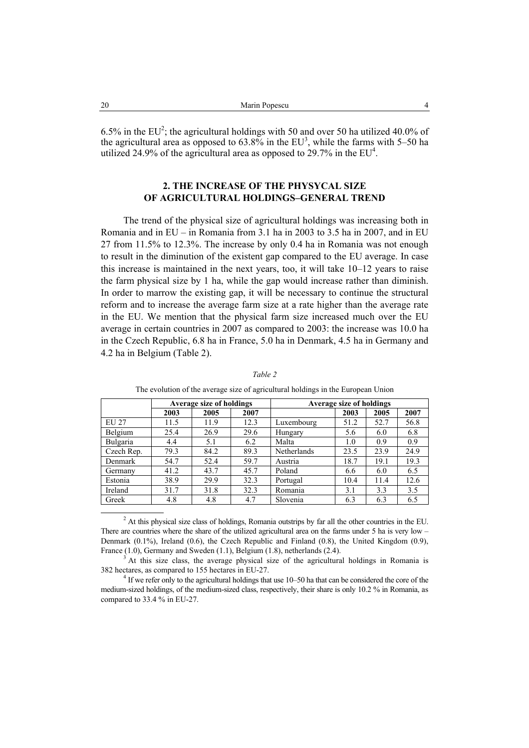6.5% in the EU<sup>2</sup>; the agricultural holdings with 50 and over 50 ha utilized 40.0% of the agricultural area as opposed to  $63.8\%$  in the EU<sup>3</sup>, while the farms with 5–50 ha utilized 24.9% of the agricultural area as opposed to 29.7% in the  $EU^4$ .

## **2. THE INCREASE OF THE PHYSYCAL SIZE OF AGRICULTURAL HOLDINGS–GENERAL TREND**

The trend of the physical size of agricultural holdings was increasing both in Romania and in EU – in Romania from 3.1 ha in 2003 to 3.5 ha in 2007, and in EU 27 from 11.5% to 12.3%. The increase by only 0.4 ha in Romania was not enough to result in the diminution of the existent gap compared to the EU average. In case this increase is maintained in the next years, too, it will take 10–12 years to raise the farm physical size by 1 ha, while the gap would increase rather than diminish. In order to marrow the existing gap, it will be necessary to continue the structural reform and to increase the average farm size at a rate higher than the average rate in the EU. We mention that the physical farm size increased much over the EU average in certain countries in 2007 as compared to 2003: the increase was 10.0 ha in the Czech Republic, 6.8 ha in France, 5.0 ha in Denmark, 4.5 ha in Germany and 4.2 ha in Belgium (Table 2).

|            | Average size of holdings |      |      | <b>Average size of holdings</b> |      |      |      |
|------------|--------------------------|------|------|---------------------------------|------|------|------|
|            | 2003                     | 2005 | 2007 |                                 | 2003 | 2005 | 2007 |
| EU 27      | 11.5                     | 11.9 | 12.3 | Luxembourg                      | 51.2 | 52.7 | 56.8 |
| Belgium    | 25.4                     | 26.9 | 29.6 | Hungary                         | 5.6  | 6.0  | 6.8  |
| Bulgaria   | 4.4                      | 5.1  | 6.2  | Malta                           | 1.0  | 0.9  | 0.9  |
| Czech Rep. | 79.3                     | 84.2 | 89.3 | <b>Netherlands</b>              | 23.5 | 23.9 | 24.9 |
| Denmark    | 54.7                     | 52.4 | 59.7 | Austria                         | 18.7 | 19.1 | 19.3 |
| Germany    | 41.2                     | 43.7 | 45.7 | Poland                          | 6.6  | 6.0  | 6.5  |
| Estonia    | 38.9                     | 29.9 | 32.3 | Portugal                        | 10.4 | 11.4 | 12.6 |
| Ireland    | 31.7                     | 31.8 | 32.3 | Romania                         | 3.1  | 3.3  | 3.5  |
| Greek      | 4.8                      | 4.8  | 4.7  | Slovenia                        | 6.3  | 6.3  | 6.5  |

*Table 2* 

The evolution of the average size of agricultural holdings in the European Union

 2  $^{2}$  At this physical size class of holdings, Romania outstrips by far all the other countries in the EU. There are countries where the share of the utilized agricultural area on the farms under 5 ha is very low – Denmark (0.1%), Ireland (0.6), the Czech Republic and Finland (0.8), the United Kingdom (0.9), France  $(1.0)$ , Germany and Sweden  $(1.1)$ , Belgium  $(1.8)$ , netherlands  $(2.4)$ .

 At this size class, the average physical size of the agricultural holdings in Romania is 382 hectares, as compared to 155 hectares in EU-27. 4

 $<sup>4</sup>$  If we refer only to the agricultural holdings that use 10–50 ha that can be considered the core of the</sup> medium-sized holdings, of the medium-sized class, respectively, their share is only 10.2 % in Romania, as compared to 33.4 % in EU-27.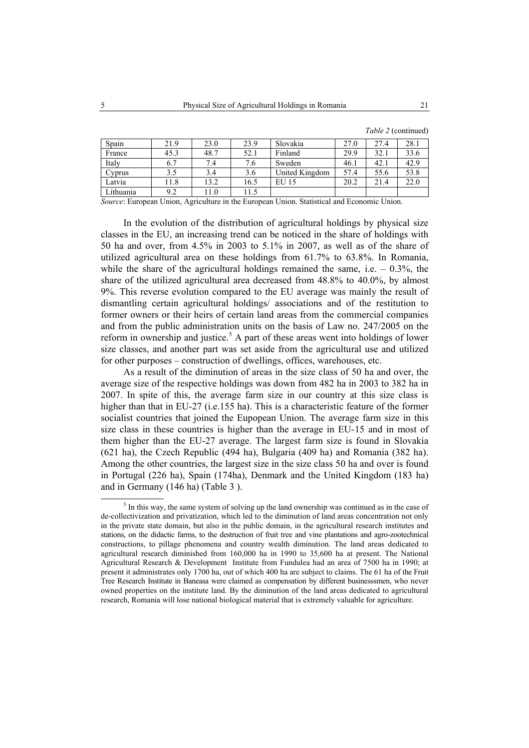| Spain     | 21.9 | 23.0 | 23.9 | Slovakia       | 27.0 | 27.4 | 28.1 |
|-----------|------|------|------|----------------|------|------|------|
| France    | 45.3 | 48.7 | 52.1 | Finland        | 29.9 | 32.1 | 33.6 |
|           |      |      |      |                |      |      |      |
| Italy     | 6.7  | 7.4  | 7.6  | Sweden         | 46.1 | 42.1 | 42.9 |
| Cyprus    | 3.5  | 3.4  | 3.6  | United Kingdom | 57.4 | 55.6 | 53.8 |
| Latvia    | 11.8 | 13.2 | 16.5 | EU 15          | 20.2 | 21.4 | 22.0 |
| Lithuania | 9.2  | 11.0 | 11.5 |                |      |      |      |

*Source*: European Union, Agriculture in the European Union. Statistical and Economic Union.

In the evolution of the distribution of agricultural holdings by physical size classes in the EU, an increasing trend can be noticed in the share of holdings with 50 ha and over, from 4.5% in 2003 to 5.1% in 2007, as well as of the share of utilized agricultural area on these holdings from 61.7% to 63.8%. In Romania, while the share of the agricultural holdings remained the same, i.e.  $-0.3\%$ , the share of the utilized agricultural area decreased from 48.8% to 40.0%, by almost 9%. This reverse evolution compared to the EU average was mainly the result of dismantling certain agricultural holdings/ associations and of the restitution to former owners or their heirs of certain land areas from the commercial companies and from the public administration units on the basis of Law no. 247/2005 on the reform in ownership and justice.<sup>5</sup> A part of these areas went into holdings of lower size classes, and another part was set aside from the agricultural use and utilized for other purposes – construction of dwellings, offices, warehouses, etc.

As a result of the diminution of areas in the size class of 50 ha and over, the average size of the respective holdings was down from 482 ha in 2003 to 382 ha in 2007. In spite of this, the average farm size in our country at this size class is higher than that in EU-27 (i.e.155 ha). This is a characteristic feature of the former socialist countries that joined the Eupopean Union. The average farm size in this size class in these countries is higher than the average in EU-15 and in most of them higher than the EU-27 average. The largest farm size is found in Slovakia (621 ha), the Czech Republic (494 ha), Bulgaria (409 ha) and Romania (382 ha). Among the other countries, the largest size in the size class 50 ha and over is found in Portugal (226 ha), Spain (174ha), Denmark and the United Kingdom (183 ha) and in Germany (146 ha) (Table 3 ).

 $rac{1}{5}$  $<sup>5</sup>$  In this way, the same system of solving up the land ownership was continued as in the case of</sup> de-collectivization and privatization, which led to the diminution of land areas concentration not only in the private state domain, but also in the public domain, in the agricultural research institutes and stations, on the didactic farms, to the destruction of fruit tree and vine plantations and agro-zootechnical constructions, to pillage phenomena and country wealth diminution. The land areas dedicated to agricultural research diminished from 160,000 ha in 1990 to 35,600 ha at present. The National Agricultural Research & Development Institute from Fundulea had an area of 7500 ha in 1990; at present it administrates only 1700 ha, out of which 400 ha are subject to claims. The 61 ha of the Fruit Tree Research Institute in Baneasa were claimed as compensation by different businesssmen, who never owned properties on the institute land. By the diminution of the land areas dedicated to agricultural research, Romania will lose national biological material that is extremely valuable for agriculture.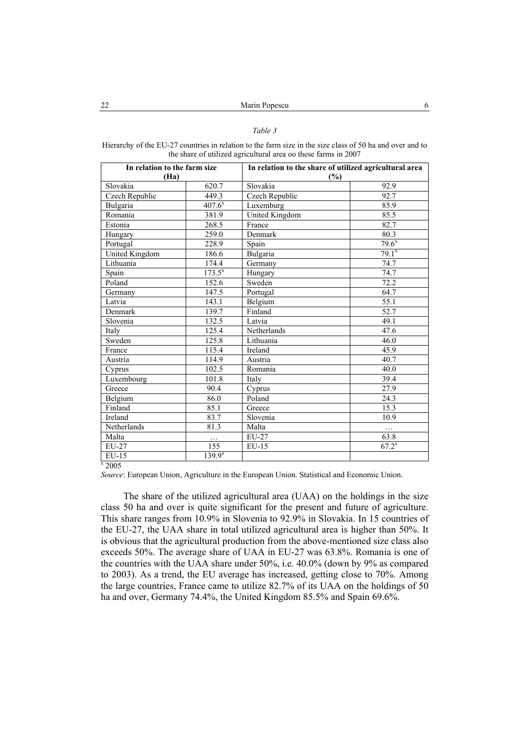#### *Table 3*

| Hierarchy of the EU-27 countries in relation to the farm size in the size class of 50 ha and over and to |
|----------------------------------------------------------------------------------------------------------|
| the share of utilized agricultural area oo these farms in 2007                                           |

| In relation to the farm size |             | In relation to the share of utilized agricultural area |                      |  |  |
|------------------------------|-------------|--------------------------------------------------------|----------------------|--|--|
| (Ha)                         |             | (%)                                                    |                      |  |  |
| Slovakia                     | 620.7       | Slovakia                                               | 92.9                 |  |  |
| Czech Republic               | 449.3       | Czech Republic                                         | 92.7                 |  |  |
| Bulgaria                     | $407.6^{x}$ | Luxemburg                                              | 85.9                 |  |  |
| Romania                      | 381.9       | United Kingdom                                         | 85.5                 |  |  |
| Estonia                      | 268.5       | France                                                 | 82.7                 |  |  |
| Hungary                      | 259.0       | Denmark                                                | 80.3                 |  |  |
| Portugal                     | 228.9       | Spain                                                  | $\frac{79.6^{x}}{2}$ |  |  |
| United Kingdom               | 186.6       | Bulgaria                                               | $79.1^{x}$           |  |  |
| Lithuania                    | 174.4       | Germany                                                | 74.7                 |  |  |
| Spain                        | $173.5^{x}$ | Hungary                                                | 74.7                 |  |  |
| Poland                       | 152.6       | Sweden                                                 | 72.2                 |  |  |
| Germany                      | 147.5       | Portugal                                               | 64.7                 |  |  |
| Latvia                       | 143.1       | Belgium                                                | 55.1                 |  |  |
| Denmark                      | 139.7       | Finland                                                | 52.7                 |  |  |
| Slovenia                     | 132.5       | Latvia                                                 | 49.1                 |  |  |
| Italy                        | 125.4       | Netherlands                                            | 47.6                 |  |  |
| Sweden                       | 125.8       | Lithuania                                              | 46.0                 |  |  |
| France                       | 115.4       | Ireland                                                | 45.9                 |  |  |
| Austria                      | 114.9       | Austria                                                | 40.7                 |  |  |
| Cyprus                       | 102.5       | Romania                                                | 40.0                 |  |  |
| Luxembourg                   | 101.8       | Italy                                                  | 39.4                 |  |  |
| Greece                       | 90.4        | Cyprus                                                 | 27.9                 |  |  |
| Belgium                      | 86.0        | Poland                                                 | 24.3                 |  |  |
| Finland                      | 85.1        | Greece                                                 | 15.3                 |  |  |
| Ireland                      | 83.7        | Slovenia                                               | 10.9                 |  |  |
| Netherlands                  | 81.3        | Malta                                                  | .                    |  |  |
| Malta                        | $\cdots$    | EU-27                                                  | 63.8                 |  |  |
| EU-27                        | 155         | $EU-15$                                                | $67.2^{x}$           |  |  |
| EU-15                        | $139.9^{x}$ |                                                        |                      |  |  |
| $\overline{x}$ 2005          |             |                                                        |                      |  |  |

 $x$  2005

*Source*: European Union, Agriculture in the European Union. Statistical and Economic Union.

The share of the utilized agricultural area (UAA) on the holdings in the size class 50 ha and over is quite significant for the present and future of agriculture. This share ranges from 10.9% in Slovenia to 92.9% in Slovakia. In 15 countries of the EU-27, the UAA share in total utilized agricultural area is higher than 50%. It is obvious that the agricultural production from the above-mentioned size class also exceeds 50%. The average share of UAA in EU-27 was 63.8%. Romania is one of the countries with the UAA share under 50%, i.e. 40.0% (down by 9% as compared to 2003). As a trend, the EU average has increased, getting close to 70%. Among the large countries, France came to utilize 82.7% of its UAA on the holdings of 50 ha and over, Germany 74.4%, the United Kingdom 85.5% and Spain 69.6%.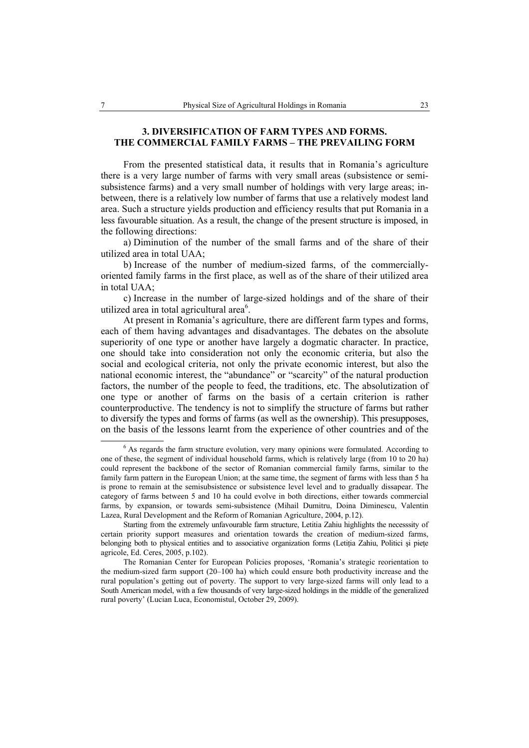### **3. DIVERSIFICATION OF FARM TYPES AND FORMS. THE COMMERCIAL FAMILY FARMS – THE PREVAILING FORM**

From the presented statistical data, it results that in Romania's agriculture there is a very large number of farms with very small areas (subsistence or semisubsistence farms) and a very small number of holdings with very large areas; inbetween, there is a relatively low number of farms that use a relatively modest land area. Such a structure yields production and efficiency results that put Romania in a less favourable situation. As a result, the change of the present structure is imposed, in the following directions:

a) Diminution of the number of the small farms and of the share of their utilized area in total UAA;

b) Increase of the number of medium-sized farms, of the commerciallyoriented family farms in the first place, as well as of the share of their utilized area in total UAA;

c) Increase in the number of large-sized holdings and of the share of their utilized area in total agricultural area<sup>6</sup>.

At present in Romania's agriculture, there are different farm types and forms, each of them having advantages and disadvantages. The debates on the absolute superiority of one type or another have largely a dogmatic character. In practice, one should take into consideration not only the economic criteria, but also the social and ecological criteria, not only the private economic interest, but also the national economic interest, the "abundance" or "scarcity" of the natural production factors, the number of the people to feed, the traditions, etc. The absolutization of one type or another of farms on the basis of a certain criterion is rather counterproductive. The tendency is not to simplify the structure of farms but rather to diversify the types and forms of farms (as well as the ownership). This presupposes, on the basis of the lessons learnt from the experience of other countries and of the

 <sup>6</sup> <sup>6</sup> As regards the farm structure evolution, very many opinions were formulated. According to one of these, the segment of individual household farms, which is relatively large (from 10 to 20 ha) could represent the backbone of the sector of Romanian commercial family farms, similar to the family farm pattern in the European Union; at the same time, the segment of farms with less than 5 ha is prone to remain at the semisubsistence or subsistence level level and to gradually dissapear. The category of farms between 5 and 10 ha could evolve in both directions, either towards commercial farms, by expansion, or towards semi-subsistence (Mihail Dumitru, Doina Diminescu, Valentin Lazea, Rural Development and the Reform of Romanian Agriculture, 2004, p.12).

Starting from the extremely unfavourable farm structure, Letitia Zahiu highlights the necesssity of certain priority support measures and orientation towards the creation of medium-sized farms, belonging both to physical entities and to associative organization forms (Letitia Zahiu, Politici și piețe agricole, Ed. Ceres, 2005, p.102).

The Romanian Center for European Policies proposes, 'Romania's strategic reorientation to the medium-sized farm support (20–100 ha) which could ensure both productivity increase and the rural population's getting out of poverty. The support to very large-sized farms will only lead to a South American model, with a few thousands of very large-sized holdings in the middle of the generalized rural poverty' (Lucian Luca, Economistul, October 29, 2009).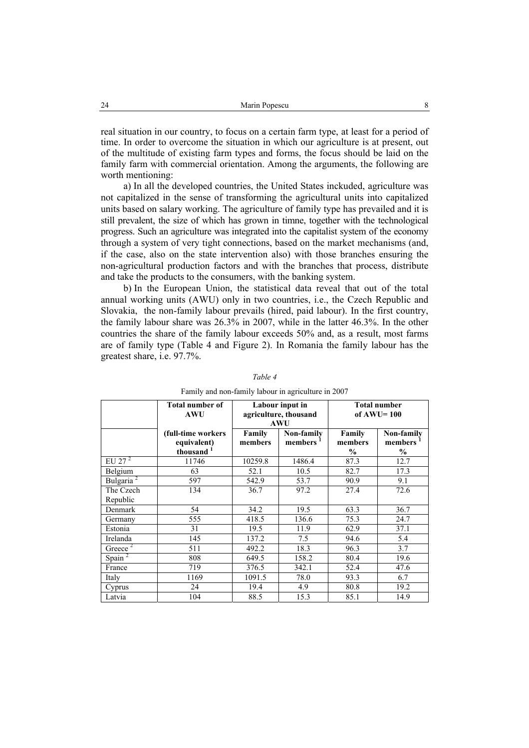real situation in our country, to focus on a certain farm type, at least for a period of time. In order to overcome the situation in which our agriculture is at present, out of the multitude of existing farm types and forms, the focus should be laid on the family farm with commercial orientation. Among the arguments, the following are worth mentioning:

a) In all the developed countries, the United States inckuded, agriculture was not capitalized in the sense of transforming the agricultural units into capitalized units based on salary working. The agriculture of family type has prevailed and it is still prevalent, the size of which has grown in timne, together with the technological progress. Such an agriculture was integrated into the capitalist system of the economy through a system of very tight connections, based on the market mechanisms (and, if the case, also on the state intervention also) with those branches ensuring the non-agricultural production factors and with the branches that process, distribute and take the products to the consumers, with the banking system.

b) In the European Union, the statistical data reveal that out of the total annual working units (AWU) only in two countries, i.e., the Czech Republic and Slovakia, the non-family labour prevails (hired, paid labour). In the first country, the family labour share was 26.3% in 2007, while in the latter 46.3%. In the other countries the share of the family labour exceeds 50% and, as a result, most farms are of family type (Table 4 and Figure 2). In Romania the family labour has the greatest share, i.e. 97.7%.

|                       | <b>Total number of</b><br><b>AWU</b> | Labour input in<br>agriculture, thousand |            | <b>Total number</b><br>of $AWU=100$ |               |
|-----------------------|--------------------------------------|------------------------------------------|------------|-------------------------------------|---------------|
|                       |                                      |                                          | <b>AWU</b> |                                     |               |
|                       | (full-time workers                   | Family                                   | Non-family | Family                              | Non-family    |
|                       | equivalent)                          | members                                  | members    | members                             | members       |
|                       | thousand                             |                                          |            | $\frac{0}{0}$                       | $\frac{0}{0}$ |
| EU 27 $^2$            | 11746                                | 10259.8                                  | 1486.4     | 87.3                                | 12.7          |
| Belgium               | 63                                   | 52.1                                     | 10.5       | 82.7                                | 17.3          |
| Bulgaria <sup>2</sup> | 597                                  | 542.9                                    | 53.7       | 90.9                                | 9.1           |
| The Czech             | 134                                  | 36.7                                     | 97.2       | 27.4                                | 72.6          |
| Republic              |                                      |                                          |            |                                     |               |
| Denmark               | 54                                   | 34.2                                     | 19.5       | 63.3                                | 36.7          |
| Germany               | 555                                  | 418.5                                    | 136.6      | 75.3                                | 24.7          |
| Estonia               | 31                                   | 19.5                                     | 11.9       | 62.9                                | 37.1          |
| Irelanda              | 145                                  | 137.2                                    | 7.5        | 94.6                                | 5.4           |
| Greece <sup>2</sup>   | 511                                  | 492.2                                    | 18.3       | 96.3                                | 3.7           |
| Spain <sup>2</sup>    | 808                                  | 649.5                                    | 158.2      | 80.4                                | 19.6          |
| France                | 719                                  | 376.5                                    | 342.1      | 52.4                                | 47.6          |
| Italy                 | 1169                                 | 1091.5                                   | 78.0       | 93.3                                | 6.7           |
| Cyprus                | 24                                   | 19.4                                     | 4.9        | 80.8                                | 19.2          |
| Latvia                | 104                                  | 88.5                                     | 15.3       | 85.1                                | 14.9          |

*Table 4* 

Family and non-family labour in agriculture in 2007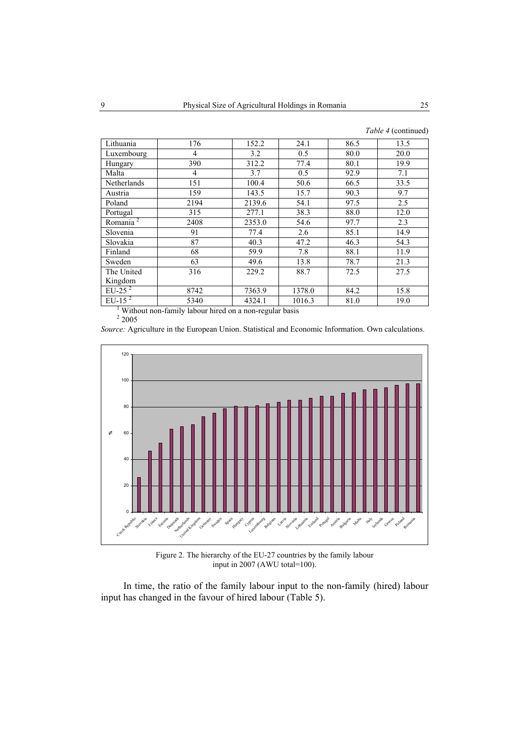| Lithuania            | 176                                                                  | 152.2  | 24.1   | 86.5 | 13.5 |
|----------------------|----------------------------------------------------------------------|--------|--------|------|------|
| Luxembourg           | 4                                                                    | 3.2    | 0.5    | 80.0 | 20.0 |
| Hungary              | 390                                                                  | 312.2  | 77.4   | 80.1 | 19.9 |
| Malta                | 4                                                                    | 3.7    | 0.5    | 92.9 | 7.1  |
| Netherlands          | 151                                                                  | 100.4  | 50.6   | 66.5 | 33.5 |
| Austria              | 159                                                                  | 143.5  | 15.7   | 90.3 | 9.7  |
| Poland               | 2194                                                                 | 2139.6 | 54.1   | 97.5 | 2.5  |
| Portugal             | 315                                                                  | 277.1  | 38.3   | 88.0 | 12.0 |
| Romania <sup>2</sup> | 2408                                                                 | 2353.0 | 54.6   | 97.7 | 2.3  |
| Slovenia             | 91                                                                   | 77.4   | 2.6    | 85.1 | 14.9 |
| Slovakia             | 87                                                                   | 40.3   | 47.2   | 46.3 | 54.3 |
| Finland              | 68                                                                   | 59.9   | 7.8    | 88.1 | 11.9 |
| Sweden               | 63                                                                   | 49.6   | 13.8   | 78.7 | 21.3 |
| The United           | 316                                                                  | 229.2  | 88.7   | 72.5 | 27.5 |
| Kingdom              |                                                                      |        |        |      |      |
| EU-25 $2$            | 8742                                                                 | 7363.9 | 1378.0 | 84.2 | 15.8 |
| $EU-152$             | 5340                                                                 | 4324.1 | 1016.3 | 81.0 | 19.0 |
|                      | $\frac{1}{2}$ Without non-family labour bired on a non-recular heaig |        |        |      |      |

<sup>1</sup> Without non-family labour hired on a non-regular basis  $2\frac{2005}$ 

*Source:* Agriculture in the European Union. Statistical and Economic Information. Own calculations.



Figure 2. The hierarchy of the EU-27 countries by the family labour input in 2007 (AWU total=100).

In time, the ratio of the family labour input to the non-family (hired) labour input has changed in the favour of hired labour (Table 5).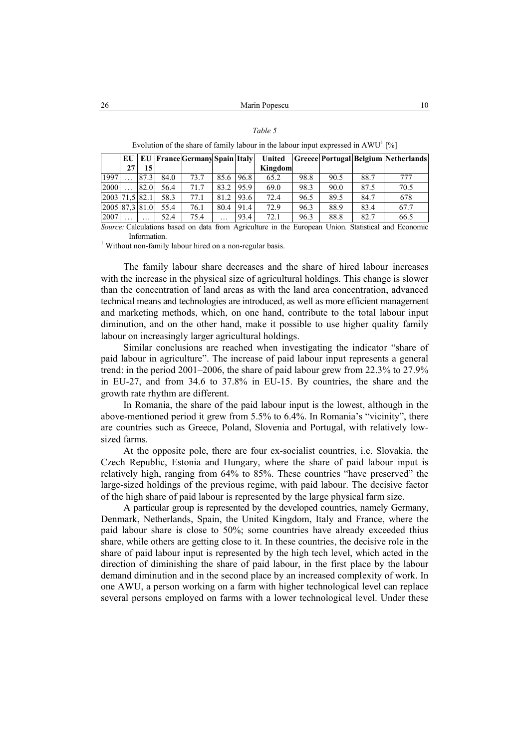| I |  |
|---|--|
|---|--|

|                |          |          |      | EU   EU   France Germany Spain   Italy |                      |      | United  |      |      |      | Greece Portugal Belgium Netherlands |
|----------------|----------|----------|------|----------------------------------------|----------------------|------|---------|------|------|------|-------------------------------------|
|                | 27       | 15       |      |                                        |                      |      | Kingdom |      |      |      |                                     |
| 1997           |          | 87.3     | 84.0 | 73.7                                   | 85.6                 | 96.8 | 65.2    | 98.8 | 90.5 | 88.7 | 777                                 |
| 2000           |          | 82.0     | 56.4 | 71.7                                   | 832                  | 95.9 | 69.0    | 98.3 | 90.0 | 87.5 | 70.5                                |
| 2003 71.5 82.1 |          |          | 58.3 | 77.1                                   | 81.2                 | 93.6 | 72.4    | 96.5 | 89.5 | 84.7 | 678                                 |
| 2005 87.3 81.0 |          |          | 55.4 | 76.1                                   | 80.4                 | 91.4 | 72.9    | 96.3 | 88.9 | 83.4 | 67.7                                |
| 2007           | $\cdots$ | $\cdots$ | 52.4 | 75.4                                   | $\ddot{\phantom{0}}$ | 93.4 | 72.1    | 96.3 | 88.8 | 82.7 | 66.5                                |

Evolution of the share of family labour in the labour input expressed in  $AWU^1$  [%]

*Source:* Calculations based on data from Agriculture in the European Union. Statistical and Economic Information.<br><sup>1</sup> Without non-family labour hired on a non-regular basis.

The family labour share decreases and the share of hired labour increases with the increase in the physical size of agricultural holdings. This change is slower than the concentration of land areas as with the land area concentration, advanced technical means and technologies are introduced, as well as more efficient management and marketing methods, which, on one hand, contribute to the total labour input diminution, and on the other hand, make it possible to use higher quality family labour on increasingly larger agricultural holdings.

Similar conclusions are reached when investigating the indicator "share of paid labour in agriculture". The increase of paid labour input represents a general trend: in the period 2001–2006, the share of paid labour grew from 22.3% to 27.9% in EU-27, and from 34.6 to 37.8% in EU-15. By countries, the share and the growth rate rhythm are different.

In Romania, the share of the paid labour input is the lowest, although in the above-mentioned period it grew from 5.5% to 6.4%. In Romania's "vicinity", there are countries such as Greece, Poland, Slovenia and Portugal, with relatively lowsized farms.

At the opposite pole, there are four ex-socialist countries, i.e. Slovakia, the Czech Republic, Estonia and Hungary, where the share of paid labour input is relatively high, ranging from 64% to 85%. These countries "have preserved" the large-sized holdings of the previous regime, with paid labour. The decisive factor of the high share of paid labour is represented by the large physical farm size.

A particular group is represented by the developed countries, namely Germany, Denmark, Netherlands, Spain, the United Kingdom, Italy and France, where the paid labour share is close to 50%; some countries have already exceeded thius share, while others are getting close to it. In these countries, the decisive role in the share of paid labour input is represented by the high tech level, which acted in the direction of diminishing the share of paid labour, in the first place by the labour demand diminution and in the second place by an increased complexity of work. In one AWU, a person working on a farm with higher technological level can replace several persons employed on farms with a lower technological level. Under these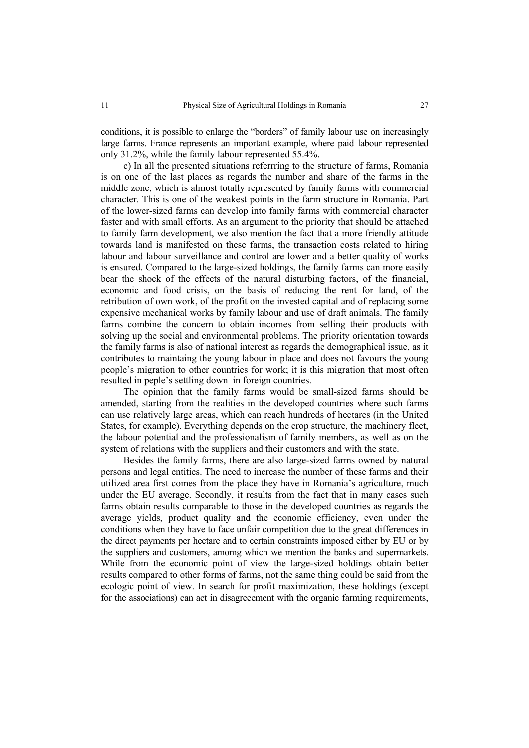conditions, it is possible to enlarge the "borders" of family labour use on increasingly large farms. France represents an important example, where paid labour represented only 31.2%, while the family labour represented 55.4%.

c) In all the presented situations referrring to the structure of farms, Romania is on one of the last places as regards the number and share of the farms in the middle zone, which is almost totally represented by family farms with commercial character. This is one of the weakest points in the farm structure in Romania. Part of the lower-sized farms can develop into family farms with commercial character faster and with small efforts. As an argument to the priority that should be attached to family farm development, we also mention the fact that a more friendly attitude towards land is manifested on these farms, the transaction costs related to hiring labour and labour surveillance and control are lower and a better quality of works is ensured. Compared to the large-sized holdings, the family farms can more easily bear the shock of the effects of the natural disturbing factors, of the financial, economic and food crisis, on the basis of reducing the rent for land, of the retribution of own work, of the profit on the invested capital and of replacing some expensive mechanical works by family labour and use of draft animals. The family farms combine the concern to obtain incomes from selling their products with solving up the social and environmental problems. The priority orientation towards the family farms is also of national interest as regards the demographical issue, as it contributes to maintaing the young labour in place and does not favours the young people's migration to other countries for work; it is this migration that most often resulted in peple's settling down in foreign countries.

The opinion that the family farms would be small-sized farms should be amended, starting from the realities in the developed countries where such farms can use relatively large areas, which can reach hundreds of hectares (in the United States, for example). Everything depends on the crop structure, the machinery fleet, the labour potential and the professionalism of family members, as well as on the system of relations with the suppliers and their customers and with the state.

Besides the family farms, there are also large-sized farms owned by natural persons and legal entities. The need to increase the number of these farms and their utilized area first comes from the place they have in Romania's agriculture, much under the EU average. Secondly, it results from the fact that in many cases such farms obtain results comparable to those in the developed countries as regards the average yields, product quality and the economic efficiency, even under the conditions when they have to face unfair competition due to the great differences in the direct payments per hectare and to certain constraints imposed either by EU or by the suppliers and customers, amomg which we mention the banks and supermarkets. While from the economic point of view the large-sized holdings obtain better results compared to other forms of farms, not the same thing could be said from the ecologic point of view. In search for profit maximization, these holdings (except for the associations) can act in disagreeement with the organic farming requirements,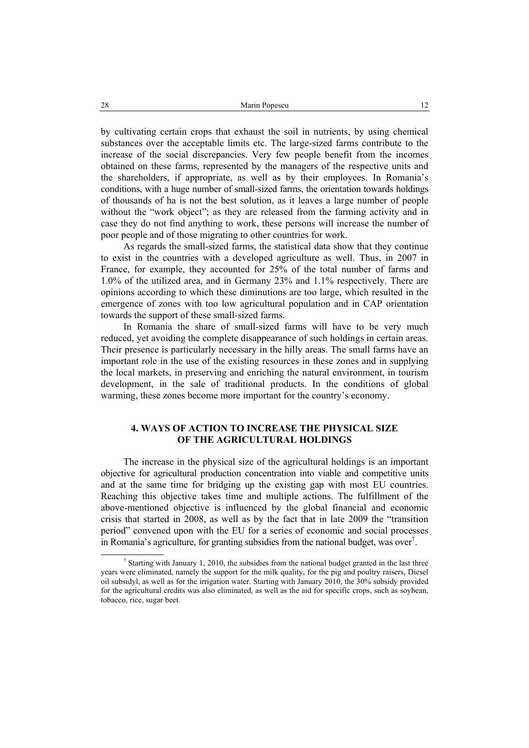by cultivating certain crops that exhaust the soil in nutrients, by using chemical substances over the acceptable limits etc. The large-sized farms contribute to the increase of the social discrepancies. Very few people benefit from the incomes obtained on these farms, represented by the managers of the respective units and the shareholders, if appropriate, as well as by their employees. In Romania's conditions, with a huge number of small-sized farms, the orientation towards holdings of thousands of ha is not the best solution, as it leaves a large number of people without the "work object"; as they are released from the farming activity and in case they do not find anything to work, these persons will increase the number of poor people and of those migrating to other countries for work.

As regards the small-sized farms, the statistical data show that they continue to exist in the countries with a developed agriculture as well. Thus, in 2007 in France, for example, they accounted for 25% of the total number of farms and 1.0% of the utilized area, and in Germany 23% and 1.1% respectively. There are opinions according to which these diminutions are too large, which resulted in the emergence of zones with too low agricultural population and in CAP orientation towards the support of these small-sized farms.

In Romania the share of small-sized farms will have to be very much reduced, yet avoiding the complete disappearance of such holdings in certain areas. Their presence is particularly necessary in the hilly areas. The small farms have an important role in the use of the existing resources in these zones and in supplying the local markets, in preserving and enriching the natural environment, in tourism development, in the sale of traditional products. In the conditions of global warming, these zones become more important for the country's economy.

### **4. WAYS OF ACTION TO INCREASE THE PHYSICAL SIZE OF THE AGRICULTURAL HOLDINGS**

The increase in the physical size of the agricultural holdings is an important objective for agricultural production concentration into viable and competitive units and at the same time for bridging up the existing gap with most EU countries. Reaching this objective takes time and multiple actions. The fulfillment of the above-mentioned objective is influenced by the global financial and economic crisis that started in 2008, as well as by the fact that in late 2009 the "transition period" convened upon with the EU for a series of economic and social processes in Romania's agriculture, for granting subsidies from the national budget, was over<sup>7</sup>.

 <sup>7</sup> <sup>7</sup> Starting with January 1, 2010, the subsidies from the national budget granted in the last three years were eliminated, namely the support for the milk quality, for the pig and poultry raisers, Diesel oil subsidyl, as well as for the irrigation water. Starting with January 2010, the 30% subsidy provided for the agricultural credits was also eliminated, as well as the aid for specific crops, such as soybean, tobacco, rice, sugar beet.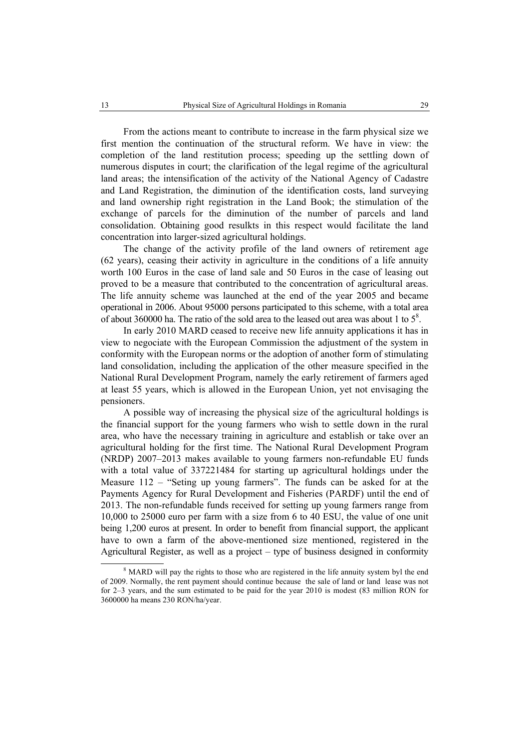From the actions meant to contribute to increase in the farm physical size we first mention the continuation of the structural reform. We have in view: the completion of the land restitution process; speeding up the settling down of numerous disputes in court; the clarification of the legal regime of the agricultural land areas; the intensification of the activity of the National Agency of Cadastre and Land Registration, the diminution of the identification costs, land surveying and land ownership right registration in the Land Book; the stimulation of the exchange of parcels for the diminution of the number of parcels and land consolidation. Obtaining good resulkts in this respect would facilitate the land concentration into larger-sized agricultural holdings.

The change of the activity profile of the land owners of retirement age (62 years), ceasing their activity in agriculture in the conditions of a life annuity worth 100 Euros in the case of land sale and 50 Euros in the case of leasing out proved to be a measure that contributed to the concentration of agricultural areas. The life annuity scheme was launched at the end of the year 2005 and became operational in 2006. About 95000 persons participated to this scheme, with a total area of about 360000 ha. The ratio of the sold area to the leased out area was about 1 to  $5^8$ .

In early 2010 MARD ceased to receive new life annuity applications it has in view to negociate with the European Commission the adjustment of the system in conformity with the European norms or the adoption of another form of stimulating land consolidation, including the application of the other measure specified in the National Rural Development Program, namely the early retirement of farmers aged at least 55 years, which is allowed in the European Union, yet not envisaging the pensioners.

A possible way of increasing the physical size of the agricultural holdings is the financial support for the young farmers who wish to settle down in the rural area, who have the necessary training in agriculture and establish or take over an agricultural holding for the first time. The National Rural Development Program (NRDP) 2007–2013 makes available to young farmers non-refundable EU funds with a total value of 337221484 for starting up agricultural holdings under the Measure 112 – "Seting up young farmers". The funds can be asked for at the Payments Agency for Rural Development and Fisheries (PARDF) until the end of 2013. The non-refundable funds received for setting up young farmers range from 10,000 to 25000 euro per farm with a size from 6 to 40 ESU, the value of one unit being 1,200 euros at present. In order to benefit from financial support, the applicant have to own a farm of the above-mentioned size mentioned, registered in the Agricultural Register, as well as a project – type of business designed in conformity

 <sup>8</sup> <sup>8</sup> MARD will pay the rights to those who are registered in the life annuity system byl the end of 2009. Normally, the rent payment should continue because the sale of land or land lease was not for 2–3 years, and the sum estimated to be paid for the year 2010 is modest (83 million RON for 3600000 ha means 230 RON/ha/year.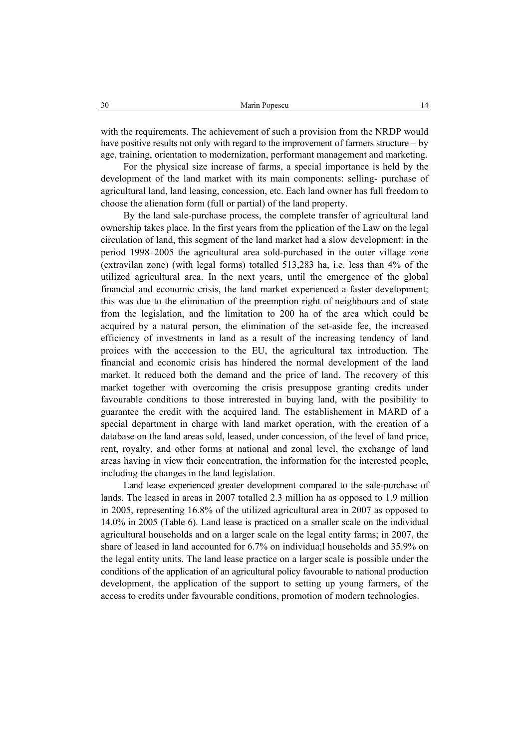with the requirements. The achievement of such a provision from the NRDP would have positive results not only with regard to the improvement of farmers structure – by age, training, orientation to modernization, performant management and marketing.

For the physical size increase of farms, a special importance is held by the development of the land market with its main components: selling- purchase of agricultural land, land leasing, concession, etc. Each land owner has full freedom to choose the alienation form (full or partial) of the land property.

By the land sale-purchase process, the complete transfer of agricultural land ownership takes place. In the first years from the pplication of the Law on the legal circulation of land, this segment of the land market had a slow development: in the period 1998–2005 the agricultural area sold-purchased in the outer village zone (extravilan zone) (with legal forms) totalled 513,283 ha, i.e. less than 4% of the utilized agricultural area. In the next years, until the emergence of the global financial and economic crisis, the land market experienced a faster development; this was due to the elimination of the preemption right of neighbours and of state from the legislation, and the limitation to 200 ha of the area which could be acquired by a natural person, the elimination of the set-aside fee, the increased efficiency of investments in land as a result of the increasing tendency of land proices with the acccession to the EU, the agricultural tax introduction. The financial and economic crisis has hindered the normal development of the land market. It reduced both the demand and the price of land. The recovery of this market together with overcoming the crisis presuppose granting credits under favourable conditions to those intrerested in buying land, with the posibility to guarantee the credit with the acquired land. The establishement in MARD of a special department in charge with land market operation, with the creation of a database on the land areas sold, leased, under concession, of the level of land price, rent, royalty, and other forms at national and zonal level, the exchange of land areas having in view their concentration, the information for the interested people, including the changes in the land legislation.

Land lease experienced greater development compared to the sale-purchase of lands. The leased in areas in 2007 totalled 2.3 million ha as opposed to 1.9 million in 2005, representing 16.8% of the utilized agricultural area in 2007 as opposed to 14.0% in 2005 (Table 6). Land lease is practiced on a smaller scale on the individual agricultural households and on a larger scale on the legal entity farms; in 2007, the share of leased in land accounted for 6.7% on individua;l households and 35.9% on the legal entity units. The land lease practice on a larger scale is possible under the conditions of the application of an agricultural policy favourable to national production development, the application of the support to setting up young farmers, of the access to credits under favourable conditions, promotion of modern technologies.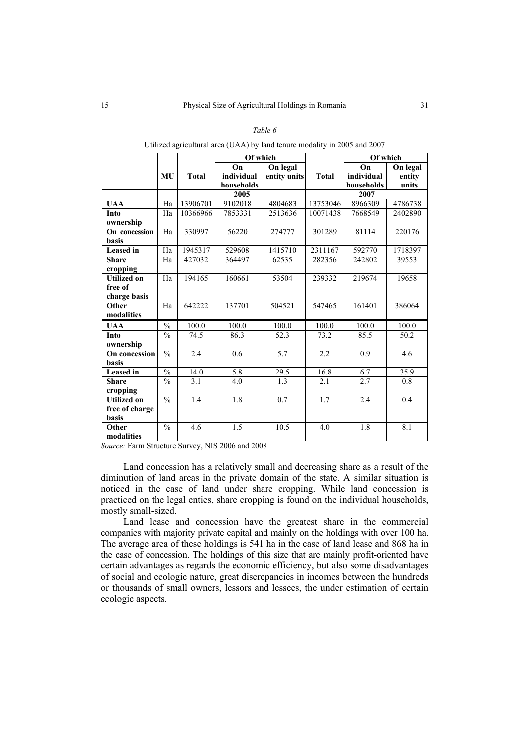| ante |  |
|------|--|
|------|--|

|                    |               |                   | Of which   |                   |              | Of which   |                        |  |  |
|--------------------|---------------|-------------------|------------|-------------------|--------------|------------|------------------------|--|--|
|                    |               |                   | On         | On legal          |              | On         | $\overline{O}$ n legal |  |  |
|                    | MU            | <b>Total</b>      | individual | entity units      | <b>Total</b> | individual | entity                 |  |  |
|                    |               |                   | households |                   |              | households | units                  |  |  |
|                    |               |                   | 2005       |                   | 2007         |            |                        |  |  |
| <b>UAA</b>         | Ha            | 13906701          | 9102018    | 4804683           | 13753046     | 8966309    | 4786738                |  |  |
| Into               | Ha            | 10366966          | 7853331    | 2513636           | 10071438     | 7668549    | 2402890                |  |  |
| ownership          |               |                   |            |                   |              |            |                        |  |  |
| On concession      | Ha            | 330997            | 56220      | 274777            | 301289       | 81114      | 220176                 |  |  |
| <b>basis</b>       |               |                   |            |                   |              |            |                        |  |  |
| Leased in          | Ha            | 1945317           | 529608     | 1415710           | 2311167      | 592770     | 1718397                |  |  |
| <b>Share</b>       | Ha            | 427032            | 364497     | 62535             | 282356       | 242802     | 39553                  |  |  |
| cropping           |               |                   |            |                   |              |            |                        |  |  |
| <b>Utilized on</b> | Ha            | 194165            | 160661     | 53504             | 239332       | 219674     | 19658                  |  |  |
| free of            |               |                   |            |                   |              |            |                        |  |  |
| charge basis       |               |                   |            |                   |              |            |                        |  |  |
| Other              | Ha            | 642222            | 137701     | 504521            | 547465       | 161401     | 386064                 |  |  |
| modalities         |               |                   |            |                   |              |            |                        |  |  |
| <b>UAA</b>         | $\frac{0}{0}$ | 100.0             | 100.0      | 100.0             | 100.0        | 100.0      | 100.0                  |  |  |
| Into               | $\frac{0}{0}$ | 74.5              | 86.3       | $\overline{52.3}$ | 73.2         | 85.5       | 50.2                   |  |  |
| ownership          |               |                   |            |                   |              |            |                        |  |  |
| On concession      | $\frac{0}{0}$ | 2.4               | 0.6        | $\overline{5.7}$  | 2.2          | 0.9        | 4.6                    |  |  |
| <b>basis</b>       |               |                   |            |                   |              |            |                        |  |  |
| Leased in          | $\frac{0}{0}$ | $\overline{14.0}$ | 5.8        | 29.5              | 16.8         | 6.7        | 35.9                   |  |  |
| <b>Share</b>       | $\frac{0}{0}$ | 3.1               | 4.0        | 1.3               | 2.1          | 2.7        | $\overline{0.8}$       |  |  |
| cropping           |               |                   |            |                   |              |            |                        |  |  |
| <b>Utilized on</b> | $\frac{0}{0}$ | 1.4               | 1.8        | 0.7               | 1.7          | 2.4        | 0.4                    |  |  |
| free of charge     |               |                   |            |                   |              |            |                        |  |  |
| basis              |               |                   |            |                   |              |            |                        |  |  |
| Other              | $\frac{0}{0}$ | 4.6               | 1.5        | 10.5              | 4.0          | 1.8        | 8.1                    |  |  |
| modalities         |               |                   |            |                   |              |            |                        |  |  |

Utilized agricultural area (UAA) by land tenure modality in 2005 and 2007

*Source:* Farm Structure Survey, NIS 2006 and 2008

Land concession has a relatively small and decreasing share as a result of the diminution of land areas in the private domain of the state. A similar situation is noticed in the case of land under share cropping. While land concession is practiced on the legal enties, share cropping is found on the individual households, mostly small-sized.

Land lease and concession have the greatest share in the commercial companies with majority private capital and mainly on the holdings with over 100 ha. The average area of these holdings is 541 ha in the case of land lease and 868 ha in the case of concession. The holdings of this size that are mainly profit-oriented have certain advantages as regards the economic efficiency, but also some disadvantages of social and ecologic nature, great discrepancies in incomes between the hundreds or thousands of small owners, lessors and lessees, the under estimation of certain ecologic aspects.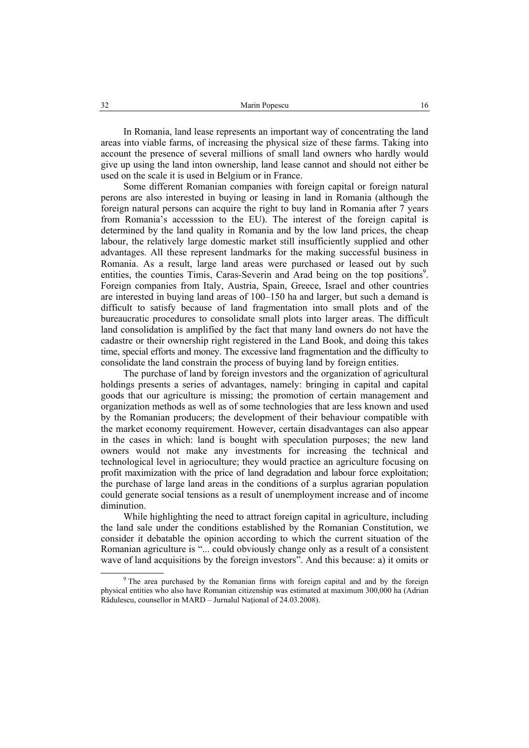In Romania, land lease represents an important way of concentrating the land areas into viable farms, of increasing the physical size of these farms. Taking into account the presence of several millions of small land owners who hardly would give up using the land inton ownership, land lease cannot and should not either be used on the scale it is used in Belgium or in France.

Some different Romanian companies with foreign capital or foreign natural perons are also interested in buying or leasing in land in Romania (although the foreign natural persons can acquire the right to buy land in Romania after 7 years from Romania's accesssion to the EU). The interest of the foreign capital is determined by the land quality in Romania and by the low land prices, the cheap labour, the relatively large domestic market still insufficiently supplied and other advantages. All these represent landmarks for the making successful business in Romania. As a result, large land areas were purchased or leased out by such entities, the counties Timis, Caras-Severin and Arad being on the top positions<sup>9</sup>. Foreign companies from Italy, Austria, Spain, Greece, Israel and other countries are interested in buying land areas of 100–150 ha and larger, but such a demand is difficult to satisfy because of land fragmentation into small plots and of the bureaucratic procedures to consolidate small plots into larger areas. The difficult land consolidation is amplified by the fact that many land owners do not have the cadastre or their ownership right registered in the Land Book, and doing this takes time, special efforts and money. The excessive land fragmentation and the difficulty to consolidate the land constrain the process of buying land by foreign entities.

The purchase of land by foreign investors and the organization of agricultural holdings presents a series of advantages, namely: bringing in capital and capital goods that our agriculture is missing; the promotion of certain management and organization methods as well as of some technologies that are less known and used by the Romanian producers; the development of their behaviour compatible with the market economy requirement. However, certain disadvantages can also appear in the cases in which: land is bought with speculation purposes; the new land owners would not make any investments for increasing the technical and technological level in agrioculture; they would practice an agriculture focusing on profit maximization with the price of land degradation and labour force exploitation; the purchase of large land areas in the conditions of a surplus agrarian population could generate social tensions as a result of unemployment increase and of income diminution.

While highlighting the need to attract foreign capital in agriculture, including the land sale under the conditions established by the Romanian Constitution, we consider it debatable the opinion according to which the current situation of the Romanian agriculture is "... could obviously change only as a result of a consistent wave of land acquisitions by the foreign investors". And this because: a) it omits or

 <sup>9</sup>  $9$ <sup>9</sup> The area purchased by the Romanian firms with foreign capital and and by the foreign physical entities who also have Romanian citizenship was estimated at maximum 300,000 ha (Adrian Rădulescu, counsellor in MARD – Jurnalul Naţional of 24.03.2008).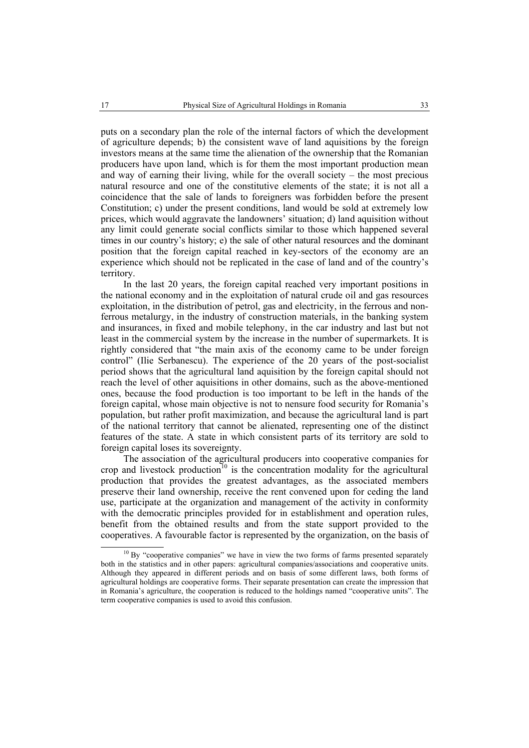puts on a secondary plan the role of the internal factors of which the development of agriculture depends; b) the consistent wave of land aquisitions by the foreign investors means at the same time the alienation of the ownership that the Romanian producers have upon land, which is for them the most important production mean and way of earning their living, while for the overall society – the most precious natural resource and one of the constitutive elements of the state; it is not all a coincidence that the sale of lands to foreigners was forbidden before the present Constitution; c) under the present conditions, land would be sold at extremely low prices, which would aggravate the landowners' situation; d) land aquisition without any limit could generate social conflicts similar to those which happened several times in our country's history; e) the sale of other natural resources and the dominant position that the foreign capital reached in key-sectors of the economy are an experience which should not be replicated in the case of land and of the country's territory.

In the last 20 years, the foreign capital reached very important positions in the national economy and in the exploitation of natural crude oil and gas resources exploitation, in the distribution of petrol, gas and electricity, in the ferrous and nonferrous metalurgy, in the industry of construction materials, in the banking system and insurances, in fixed and mobile telephony, in the car industry and last but not least in the commercial system by the increase in the number of supermarkets. It is rightly considered that "the main axis of the economy came to be under foreign control" (Ilie Serbanescu). The experience of the 20 years of the post-socialist period shows that the agricultural land aquisition by the foreign capital should not reach the level of other aquisitions in other domains, such as the above-mentioned ones, because the food production is too important to be left in the hands of the foreign capital, whose main objective is not to nensure food security for Romania's population, but rather profit maximization, and because the agricultural land is part of the national territory that cannot be alienated, representing one of the distinct features of the state. A state in which consistent parts of its territory are sold to foreign capital loses its sovereignty.

The association of the agricultural producers into cooperative companies for crop and livestock production<sup>10</sup> is the concentration modality for the agricultural production that provides the greatest advantages, as the associated members preserve their land ownership, receive the rent convened upon for ceding the land use, participate at the organization and management of the activity in conformity with the democratic principles provided for in establishment and operation rules, benefit from the obtained results and from the state support provided to the cooperatives. A favourable factor is represented by the organization, on the basis of

<sup>&</sup>lt;sup>10</sup> By "cooperative companies" we have in view the two forms of farms presented separately both in the statistics and in other papers: agricultural companies/associations and cooperative units. Although they appeared in different periods and on basis of some different laws, both forms of agricultural holdings are cooperative forms. Their separate presentation can create the impression that in Romania's agriculture, the cooperation is reduced to the holdings named "cooperative units". The term cooperative companies is used to avoid this confusion.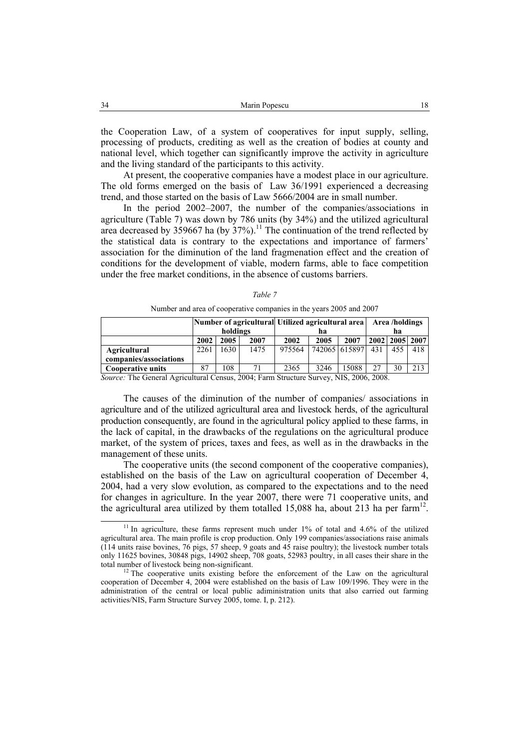the Cooperation Law, of a system of cooperatives for input supply, selling, processing of products, crediting as well as the creation of bodies at county and national level, which together can significantly improve the activity in agriculture and the living standard of the participants to this activity.

At present, the cooperative companies have a modest place in our agriculture. The old forms emerged on the basis of Law 36/1991 experienced a decreasing trend, and those started on the basis of Law 5666/2004 are in small number.

In the period 2002–2007, the number of the companies/associations in agriculture (Table 7) was down by 786 units (by 34%) and the utilized agricultural area decreased by 359667 ha (by  $37\%$ ).<sup>11</sup> The continuation of the trend reflected by the statistical data is contrary to the expectations and importance of farmers' association for the diminution of the land fragmenation effect and the creation of conditions for the development of viable, modern farms, able to face competition under the free market conditions, in the absence of customs barriers.

|                          | holdings |      |      | Number of agricultural Utilized agricultural area<br>ha |                 |       | Area /holdings<br>ha |                    |     |
|--------------------------|----------|------|------|---------------------------------------------------------|-----------------|-------|----------------------|--------------------|-----|
|                          | 2002     | 2005 | 2007 | 2002                                                    | 2005            | 2007  |                      | 2002   2005   2007 |     |
| Agricultural             | 2261     | 1630 | 1475 | 975564                                                  | 742065   615897 |       | 431                  | 455                | 418 |
| companies/associations   |          |      |      |                                                         |                 |       |                      |                    |     |
| <b>Cooperative units</b> | 87       | 08   |      | 2365                                                    | 3246            | 15088 | 27                   | 30                 | 213 |

|--|--|

Number and area of cooperative companies in the years 2005 and 2007

*Source:* The General Agricultural Census, 2004; Farm Structure Survey, NIS, 2006, 2008.

The causes of the diminution of the number of companies/ associations in agriculture and of the utilized agricultural area and livestock herds, of the agricultural production consequently, are found in the agricultural policy applied to these farms, in the lack of capital, in the drawbacks of the regulations on the agricultural produce market, of the system of prices, taxes and fees, as well as in the drawbacks in the management of these units.

The cooperative units (the second component of the cooperative companies), established on the basis of the Law on agricultural cooperation of December 4, 2004, had a very slow evolution, as compared to the expectations and to the need for changes in agriculture. In the year 2007, there were 71 cooperative units, and the agricultural area utilized by them totalled 15,088 ha, about 213 ha per farm<sup>12</sup>.

<sup>&</sup>lt;sup>11</sup> In agriculture, these farms represent much under 1% of total and 4.6% of the utilized agricultural area. The main profile is crop production. Only 199 companies/associations raise animals (114 units raise bovines, 76 pigs, 57 sheep, 9 goats and 45 raise poultry); the livestock number totals only 11625 bovines, 30848 pigs, 14902 sheep, 708 goats, 52983 poultry, in all cases their share in the total number of livestock being non-significant.<br><sup>12</sup> The cooperative units existing before the enforcement of the Law on the agricultural

cooperation of December 4, 2004 were established on the basis of Law 109/1996. They were in the administration of the central or local public adiministration units that also carried out farming activities/NIS, Farm Structure Survey 2005, tome. I, p. 212).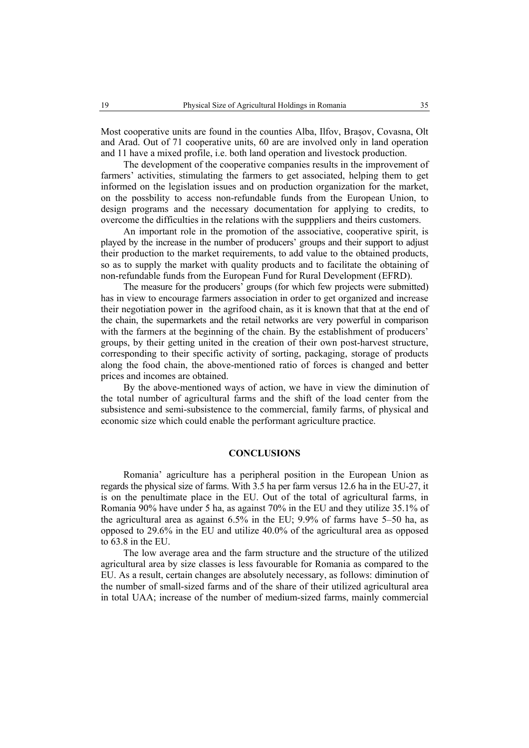Most cooperative units are found in the counties Alba, Ilfov, Braşov, Covasna, Olt and Arad. Out of 71 cooperative units, 60 are are involved only in land operation and 11 have a mixed profile, i.e. both land operation and livestock production.

The development of the cooperative companies results in the improvement of farmers' activities, stimulating the farmers to get associated, helping them to get informed on the legislation issues and on production organization for the market, on the possbility to access non-refundable funds from the European Union, to design programs and the necessary documentation for applying to credits, to overcome the difficulties in the relations with the supppliers and theirs customers.

An important role in the promotion of the associative, cooperative spirit, is played by the increase in the number of producers' groups and their support to adjust their production to the market requirements, to add value to the obtained products, so as to supply the market with quality products and to facilitate the obtaining of non-refundable funds from the European Fund for Rural Development (EFRD).

The measure for the producers' groups (for which few projects were submitted) has in view to encourage farmers association in order to get organized and increase their negotiation power in the agrifood chain, as it is known that that at the end of the chain, the supermarkets and the retail networks are very powerful in comparison with the farmers at the beginning of the chain. By the establishment of producers' groups, by their getting united in the creation of their own post-harvest structure, corresponding to their specific activity of sorting, packaging, storage of products along the food chain, the above-mentioned ratio of forces is changed and better prices and incomes are obtained.

By the above-mentioned ways of action, we have in view the diminution of the total number of agricultural farms and the shift of the load center from the subsistence and semi-subsistence to the commercial, family farms, of physical and economic size which could enable the performant agriculture practice.

### **CONCLUSIONS**

Romania' agriculture has a peripheral position in the European Union as regards the physical size of farms. With 3.5 ha per farm versus 12.6 ha in the EU-27, it is on the penultimate place in the EU. Out of the total of agricultural farms, in Romania 90% have under 5 ha, as against 70% in the EU and they utilize 35.1% of the agricultural area as against 6.5% in the EU; 9.9% of farms have 5–50 ha, as opposed to 29.6% in the EU and utilize 40.0% of the agricultural area as opposed to  $63.8$  in the EU.

The low average area and the farm structure and the structure of the utilized agricultural area by size classes is less favourable for Romania as compared to the EU. As a result, certain changes are absolutely necessary, as follows: diminution of the number of small-sized farms and of the share of their utilized agricultural area in total UAA; increase of the number of medium-sized farms, mainly commercial